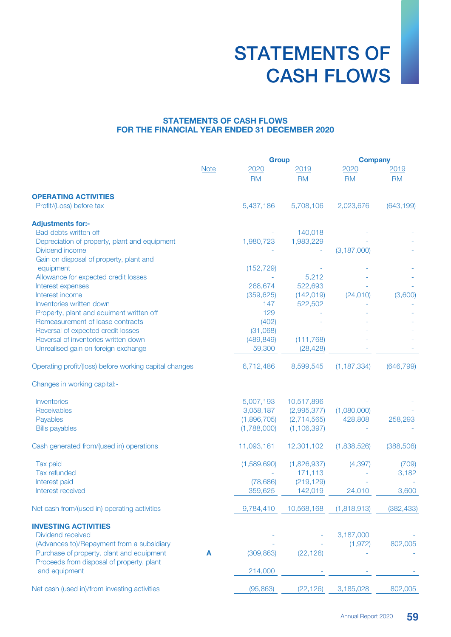# STATEMENTS OF CASH FLOWS

### STATEMENTS OF CASH FLOWS FOR THE FINANCIAL YEAR ENDED 31 DECEMBER 2020

|                                                        |             |             | <b>Group</b>  |               | <b>Company</b> |  |
|--------------------------------------------------------|-------------|-------------|---------------|---------------|----------------|--|
|                                                        | <b>Note</b> | 2020        | <u> 2019</u>  | 2020          | 2019           |  |
|                                                        |             | <b>RM</b>   | <b>RM</b>     | <b>RM</b>     | <b>RM</b>      |  |
| <b>OPERATING ACTIVITIES</b>                            |             |             |               |               |                |  |
| Profit/(Loss) before tax                               |             | 5,437,186   | 5,708,106     | 2,023,676     | (643, 199)     |  |
| <b>Adjustments for:-</b>                               |             |             |               |               |                |  |
| Bad debts written off                                  |             |             | 140,018       |               |                |  |
| Depreciation of property, plant and equipment          |             | 1,980,723   | 1,983,229     |               |                |  |
| Dividend income                                        |             |             |               | (3, 187, 000) |                |  |
| Gain on disposal of property, plant and                |             |             |               |               |                |  |
| equipment                                              |             | (152, 729)  |               |               |                |  |
| Allowance for expected credit losses                   |             |             | 5,212         |               |                |  |
| Interest expenses                                      |             | 268,674     | 522,693       |               |                |  |
| Interest income                                        |             | (359, 625)  | (142, 019)    | (24,010)      | (3,600)        |  |
| Inventories written down                               |             | 147         | 522,502       |               |                |  |
| Property, plant and equiment written off               |             | 129         |               |               |                |  |
| Remeasurement of lease contracts                       |             | (402)       |               |               |                |  |
| Reversal of expected credit losses                     |             | (31,068)    |               |               |                |  |
| Reversal of inventories written down                   |             | (489, 849)  | (111, 768)    |               |                |  |
| Unrealised gain on foreign exchange                    |             | 59,300      | (28, 428)     |               |                |  |
| Operating profit/(loss) before working capital changes |             | 6,712,486   | 8,599,545     | (1, 187, 334) | (646, 799)     |  |
| Changes in working capital:-                           |             |             |               |               |                |  |
| <b>Inventories</b>                                     |             | 5,007,193   | 10,517,896    |               |                |  |
| Receivables                                            |             | 3,058,187   | (2,995,377)   | (1,080,000)   |                |  |
| Payables                                               |             | (1,896,705) | (2,714,565)   | 428,808       | 258,293        |  |
| <b>Bills payables</b>                                  |             | (1,788,000) | (1, 106, 397) |               |                |  |
| Cash generated from/(used in) operations               |             | 11,093,161  | 12,301,102    | (1,838,526)   | (388, 506)     |  |
| Tax paid                                               |             | (1,589,690) | (1,826,937)   | (4, 397)      | (709)          |  |
| <b>Tax refunded</b>                                    |             |             | 171,113       |               | 3,182          |  |
| Interest paid                                          |             | (78, 686)   | (219, 129)    |               |                |  |
| Interest received                                      |             | 359,625     | 142,019       | 24,010        | 3,600          |  |
| Net cash from/(used in) operating activities           |             | 9,784,410   | 10,568,168    | (1,818,913)   | (382, 433)     |  |
| <b>INVESTING ACTIVITIES</b>                            |             |             |               |               |                |  |
| Dividend received                                      |             |             |               | 3,187,000     |                |  |
| (Advances to)/Repayment from a subsidiary              |             |             |               | (1, 972)      | 802,005        |  |
| Purchase of property, plant and equipment              | A           | (309, 863)  | (22, 126)     |               |                |  |
| Proceeds from disposal of property, plant              |             |             |               |               |                |  |
| and equipment                                          |             | 214,000     |               |               |                |  |
| Net cash (used in)/from investing activities           |             | (95, 863)   | (22, 126)     | 3,185,028     | 802,005        |  |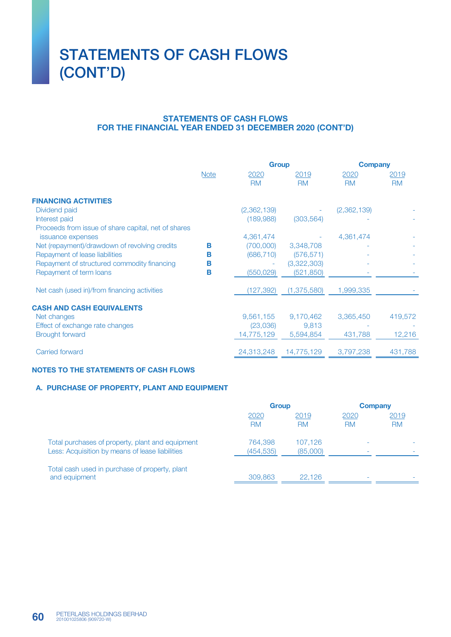## STATEMENTS OF CASH FLOWS (CONT'D)

#### STATEMENTS OF CASH FLOWS FOR THE FINANCIAL YEAR ENDED 31 DECEMBER 2020 (CONT'D)

|                                                     |             |             | <b>Group</b>  |             | <b>Company</b> |  |
|-----------------------------------------------------|-------------|-------------|---------------|-------------|----------------|--|
|                                                     | <b>Note</b> | 2020        | 2019          | 2020        | 2019           |  |
|                                                     |             | <b>RM</b>   | <b>RM</b>     | <b>RM</b>   | <b>RM</b>      |  |
| <b>FINANCING ACTIVITIES</b>                         |             |             |               |             |                |  |
| Dividend paid                                       |             | (2,362,139) |               | (2,362,139) |                |  |
| Interest paid                                       |             | (189,988)   | (303, 564)    |             |                |  |
| Proceeds from issue of share capital, net of shares |             |             |               |             |                |  |
| issuance expenses                                   |             | 4,361,474   |               | 4,361,474   |                |  |
| Net (repayment)/drawdown of revolving credits       | В           | (700,000)   | 3,348,708     |             |                |  |
| Repayment of lease liabilities                      | в           | (686, 710)  | (576, 571)    |             |                |  |
| Repayment of structured commodity financing         | в           |             | (3,322,303)   |             |                |  |
| Repayment of term loans                             | в           | (550, 029)  | (521, 850)    |             |                |  |
| Net cash (used in)/from financing activities        |             | (127, 392)  | (1, 375, 580) | 1,999,335   |                |  |
| <b>CASH AND CASH EQUIVALENTS</b>                    |             |             |               |             |                |  |
| Net changes                                         |             | 9,561,155   | 9,170,462     | 3,365,450   | 419,572        |  |
| Effect of exchange rate changes                     |             | (23,036)    | 9,813         |             |                |  |
| <b>Brought forward</b>                              |             | 14,775,129  | 5,594,854     | 431,788     | 12,216         |  |
|                                                     |             |             |               |             |                |  |
| Carried forward                                     |             | 24,313,248  | 14,775,129    | 3,797,238   | 431,788        |  |

#### NOTES TO THE STATEMENTS OF CASH FLOWS

#### A. PURCHASE OF PROPERTY, PLANT AND EQUIPMENT

|                                                                                                     | <b>Group</b>          |                     | <b>Company</b>    |                   |
|-----------------------------------------------------------------------------------------------------|-----------------------|---------------------|-------------------|-------------------|
|                                                                                                     | 2020<br><b>RM</b>     | 2019<br><b>RM</b>   | 2020<br><b>RM</b> | 2019<br><b>RM</b> |
| Total purchases of property, plant and equipment<br>Less: Acquisition by means of lease liabilities | 764,398<br>(454, 535) | 107.126<br>(85,000) |                   |                   |
| Total cash used in purchase of property, plant<br>and equipment                                     | 309,863               | 22.126              |                   |                   |